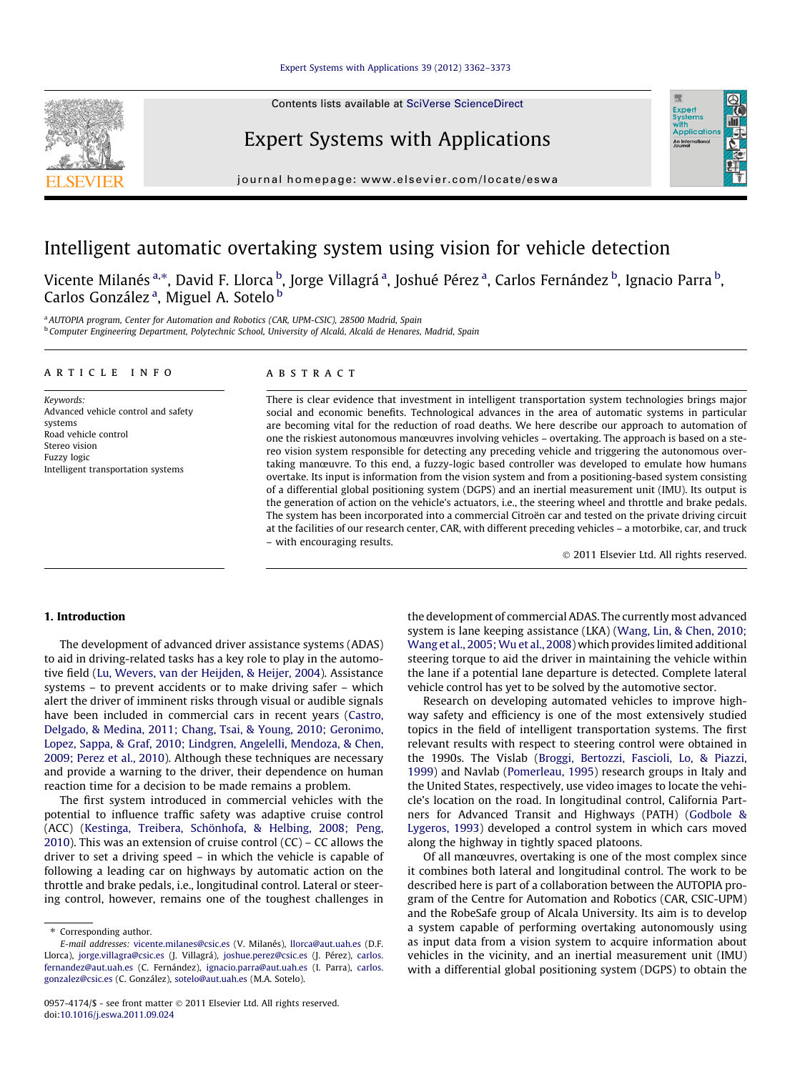Contents lists available at [SciVerse ScienceDirect](http://www.sciencedirect.com/science/journal/09574174)

# Expert Systems with Applications

journal homepage: [www.elsevier.com/locate/eswa](http://www.elsevier.com/locate/eswa)

# Intelligent automatic overtaking system using vision for vehicle detection

Vicente Milanés <sup>a,</sup>\*, David F. Llorca <sup>b</sup>, Jorge Villagrá <sup>a</sup>, Joshué Pérez <sup>a</sup>, Carlos Fernández <sup>b</sup>, Ignacio Parra <sup>b</sup>, Carlos González<sup>a</sup>, Miguel A. Sotelo <sup>b</sup>

<sup>a</sup> AUTOPIA program, Center for Automation and Robotics (CAR, UPM-CSIC), 28500 Madrid, Spain <sup>b</sup> Computer Engineering Department, Polytechnic School, University of Alcalá, Alcalá de Henares, Madrid, Spain

## article info

Keywords: Advanced vehicle control and safety systems Road vehicle control Stereo vision Fuzzy logic Intelligent transportation systems

# **ABSTRACT**

There is clear evidence that investment in intelligent transportation system technologies brings major social and economic benefits. Technological advances in the area of automatic systems in particular are becoming vital for the reduction of road deaths. We here describe our approach to automation of one the riskiest autonomous manœuvres involving vehicles – overtaking. The approach is based on a stereo vision system responsible for detecting any preceding vehicle and triggering the autonomous overtaking manœuvre. To this end, a fuzzy-logic based controller was developed to emulate how humans overtake. Its input is information from the vision system and from a positioning-based system consisting of a differential global positioning system (DGPS) and an inertial measurement unit (IMU). Its output is the generation of action on the vehicle's actuators, i.e., the steering wheel and throttle and brake pedals. The system has been incorporated into a commercial Citroën car and tested on the private driving circuit at the facilities of our research center, CAR, with different preceding vehicles – a motorbike, car, and truck – with encouraging results.

- 2011 Elsevier Ltd. All rights reserved.

# 1. Introduction

The development of advanced driver assistance systems (ADAS) to aid in driving-related tasks has a key role to play in the automotive field ([Lu, Wevers, van der Heijden, & Heijer, 2004](#page-10-0)). Assistance systems – to prevent accidents or to make driving safer – which alert the driver of imminent risks through visual or audible signals have been included in commercial cars in recent years [\(Castro,](#page-10-0) [Delgado, & Medina, 2011; Chang, Tsai, & Young, 2010; Geronimo,](#page-10-0) [Lopez, Sappa, & Graf, 2010; Lindgren, Angelelli, Mendoza, & Chen,](#page-10-0) [2009; Perez et al., 2010\)](#page-10-0). Although these techniques are necessary and provide a warning to the driver, their dependence on human reaction time for a decision to be made remains a problem.

The first system introduced in commercial vehicles with the potential to influence traffic safety was adaptive cruise control (ACC) ([Kestinga, Treibera, Schönhofa, & Helbing, 2008; Peng,](#page-10-0) [2010\)](#page-10-0). This was an extension of cruise control (CC) – CC allows the driver to set a driving speed – in which the vehicle is capable of following a leading car on highways by automatic action on the throttle and brake pedals, i.e., longitudinal control. Lateral or steering control, however, remains one of the toughest challenges in the development of commercial ADAS. The currently most advanced system is lane keeping assistance (LKA) [\(Wang, Lin, & Chen, 2010;](#page-10-0) [Wang et al., 2005;Wu et al., 2008](#page-10-0)) which provides limited additional steering torque to aid the driver in maintaining the vehicle within the lane if a potential lane departure is detected. Complete lateral vehicle control has yet to be solved by the automotive sector.

Research on developing automated vehicles to improve highway safety and efficiency is one of the most extensively studied topics in the field of intelligent transportation systems. The first relevant results with respect to steering control were obtained in the 1990s. The Vislab ([Broggi, Bertozzi, Fascioli, Lo, & Piazzi,](#page-10-0) [1999\)](#page-10-0) and Navlab ([Pomerleau, 1995\)](#page-10-0) research groups in Italy and the United States, respectively, use video images to locate the vehicle's location on the road. In longitudinal control, California Partners for Advanced Transit and Highways (PATH) [\(Godbole &](#page-10-0) [Lygeros, 1993\)](#page-10-0) developed a control system in which cars moved along the highway in tightly spaced platoons.

Of all manœuvres, overtaking is one of the most complex since it combines both lateral and longitudinal control. The work to be described here is part of a collaboration between the AUTOPIA program of the Centre for Automation and Robotics (CAR, CSIC-UPM) and the RobeSafe group of Alcala University. Its aim is to develop a system capable of performing overtaking autonomously using as input data from a vision system to acquire information about vehicles in the vicinity, and an inertial measurement unit (IMU) with a differential global positioning system (DGPS) to obtain the





<sup>⇑</sup> Corresponding author.

E-mail addresses: [vicente.milanes@csic.es](mailto:vicente.milanes@csic.es) (V. Milanés), [llorca@aut.uah.es](mailto:llorca@aut.uah.es) (D.F. Llorca), [jorge.villagra@csic.es](mailto:jorge.villagra@csic.es) (J. Villagrá), [joshue.perez@csic.es](mailto:joshue.perez@csic.es) (J. Pérez), [carlos.](mailto:carlos.fernandez@aut.uah.es) [fernandez@aut.uah.es](mailto:carlos.fernandez@aut.uah.es) (C. Fernández), [ignacio.parra@aut.uah.es](mailto:ignacio.parra@aut.uah.es) (I. Parra), [carlos.](mailto:carlos.gonzalez@csic.es) [gonzalez@csic.es](mailto:carlos.gonzalez@csic.es) (C. González), [sotelo@aut.uah.es](mailto:sotelo@aut.uah.es) (M.A. Sotelo).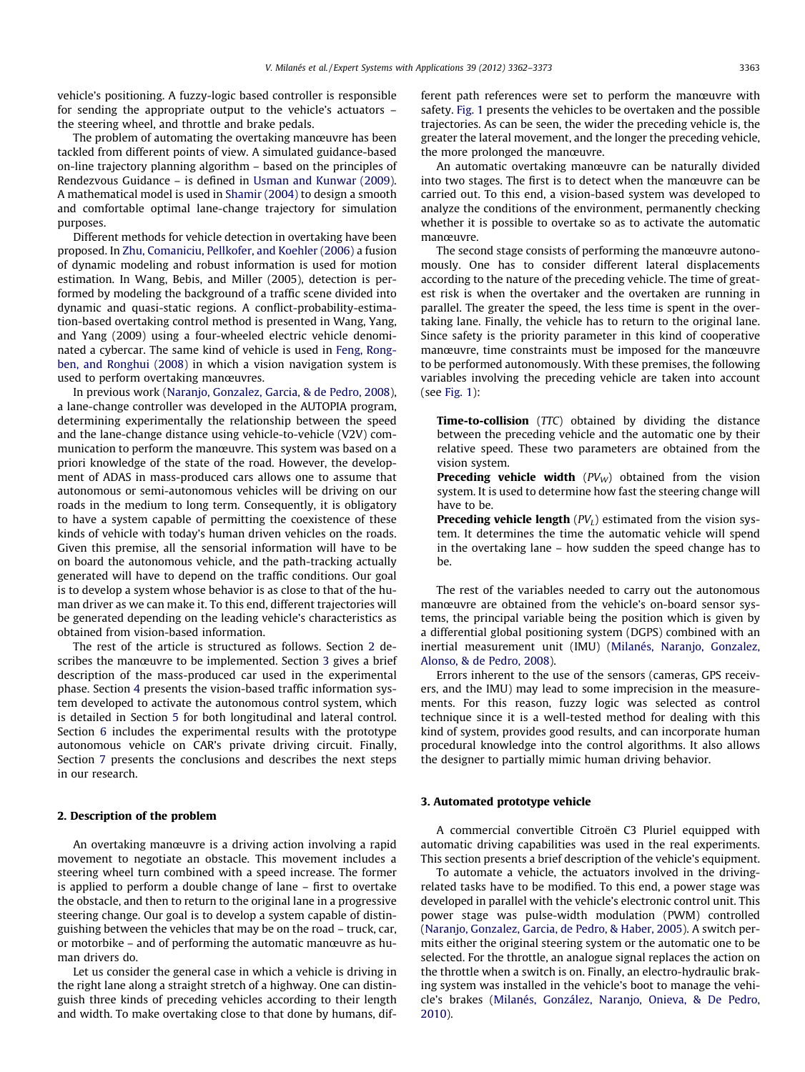vehicle's positioning. A fuzzy-logic based controller is responsible for sending the appropriate output to the vehicle's actuators – the steering wheel, and throttle and brake pedals.

The problem of automating the overtaking manœuvre has been tackled from different points of view. A simulated guidance-based on-line trajectory planning algorithm – based on the principles of Rendezvous Guidance – is defined in [Usman and Kunwar \(2009\).](#page-10-0) A mathematical model is used in [Shamir \(2004\)](#page-10-0) to design a smooth and comfortable optimal lane-change trajectory for simulation purposes.

Different methods for vehicle detection in overtaking have been proposed. In [Zhu, Comaniciu, Pellkofer, and Koehler \(2006\)](#page-11-0) a fusion of dynamic modeling and robust information is used for motion estimation. In Wang, Bebis, and Miller (2005), detection is performed by modeling the background of a traffic scene divided into dynamic and quasi-static regions. A conflict-probability-estimation-based overtaking control method is presented in Wang, Yang, and Yang (2009) using a four-wheeled electric vehicle denominated a cybercar. The same kind of vehicle is used in [Feng, Rong](#page-10-0)[ben, and Ronghui \(2008\)](#page-10-0) in which a vision navigation system is used to perform overtaking manœuvres.

In previous work ([Naranjo, Gonzalez, Garcia, & de Pedro, 2008\)](#page-10-0), a lane-change controller was developed in the AUTOPIA program, determining experimentally the relationship between the speed and the lane-change distance using vehicle-to-vehicle (V2V) communication to perform the manœuvre. This system was based on a priori knowledge of the state of the road. However, the development of ADAS in mass-produced cars allows one to assume that autonomous or semi-autonomous vehicles will be driving on our roads in the medium to long term. Consequently, it is obligatory to have a system capable of permitting the coexistence of these kinds of vehicle with today's human driven vehicles on the roads. Given this premise, all the sensorial information will have to be on board the autonomous vehicle, and the path-tracking actually generated will have to depend on the traffic conditions. Our goal is to develop a system whose behavior is as close to that of the human driver as we can make it. To this end, different trajectories will be generated depending on the leading vehicle's characteristics as obtained from vision-based information.

The rest of the article is structured as follows. Section 2 describes the manœuvre to be implemented. Section 3 gives a brief description of the mass-produced car used in the experimental phase. Section [4](#page-2-0) presents the vision-based traffic information system developed to activate the autonomous control system, which is detailed in Section [5](#page-6-0) for both longitudinal and lateral control. Section [6](#page-8-0) includes the experimental results with the prototype autonomous vehicle on CAR's private driving circuit. Finally, Section [7](#page-9-0) presents the conclusions and describes the next steps in our research.

## 2. Description of the problem

An overtaking manœuvre is a driving action involving a rapid movement to negotiate an obstacle. This movement includes a steering wheel turn combined with a speed increase. The former is applied to perform a double change of lane – first to overtake the obstacle, and then to return to the original lane in a progressive steering change. Our goal is to develop a system capable of distinguishing between the vehicles that may be on the road – truck, car, or motorbike – and of performing the automatic manœuvre as human drivers do.

Let us consider the general case in which a vehicle is driving in the right lane along a straight stretch of a highway. One can distinguish three kinds of preceding vehicles according to their length and width. To make overtaking close to that done by humans, different path references were set to perform the manœuvre with safety. [Fig. 1](#page-2-0) presents the vehicles to be overtaken and the possible trajectories. As can be seen, the wider the preceding vehicle is, the greater the lateral movement, and the longer the preceding vehicle, the more prolonged the manœuvre.

An automatic overtaking manœuvre can be naturally divided into two stages. The first is to detect when the manœuvre can be carried out. To this end, a vision-based system was developed to analyze the conditions of the environment, permanently checking whether it is possible to overtake so as to activate the automatic manœuvre.

The second stage consists of performing the manœuvre autonomously. One has to consider different lateral displacements according to the nature of the preceding vehicle. The time of greatest risk is when the overtaker and the overtaken are running in parallel. The greater the speed, the less time is spent in the overtaking lane. Finally, the vehicle has to return to the original lane. Since safety is the priority parameter in this kind of cooperative manœuvre, time constraints must be imposed for the manœuvre to be performed autonomously. With these premises, the following variables involving the preceding vehicle are taken into account (see [Fig. 1\)](#page-2-0):

Time-to-collision (TTC) obtained by dividing the distance between the preceding vehicle and the automatic one by their relative speed. These two parameters are obtained from the vision system.

**Preceding vehicle width**  $(PV_W)$  obtained from the vision system. It is used to determine how fast the steering change will have to be.

**Preceding vehicle length**  $(PV_L)$  estimated from the vision system. It determines the time the automatic vehicle will spend in the overtaking lane – how sudden the speed change has to be.

The rest of the variables needed to carry out the autonomous manœuvre are obtained from the vehicle's on-board sensor systems, the principal variable being the position which is given by a differential global positioning system (DGPS) combined with an inertial measurement unit (IMU) [\(Milanés, Naranjo, Gonzalez,](#page-10-0) [Alonso, & de Pedro, 2008\)](#page-10-0).

Errors inherent to the use of the sensors (cameras, GPS receivers, and the IMU) may lead to some imprecision in the measurements. For this reason, fuzzy logic was selected as control technique since it is a well-tested method for dealing with this kind of system, provides good results, and can incorporate human procedural knowledge into the control algorithms. It also allows the designer to partially mimic human driving behavior.

## 3. Automated prototype vehicle

A commercial convertible Citroën C3 Pluriel equipped with automatic driving capabilities was used in the real experiments. This section presents a brief description of the vehicle's equipment.

To automate a vehicle, the actuators involved in the drivingrelated tasks have to be modified. To this end, a power stage was developed in parallel with the vehicle's electronic control unit. This power stage was pulse-width modulation (PWM) controlled ([Naranjo, Gonzalez, Garcia, de Pedro, & Haber, 2005](#page-10-0)). A switch permits either the original steering system or the automatic one to be selected. For the throttle, an analogue signal replaces the action on the throttle when a switch is on. Finally, an electro-hydraulic braking system was installed in the vehicle's boot to manage the vehicle's brakes [\(Milanés, González, Naranjo, Onieva, & De Pedro,](#page-10-0) [2010](#page-10-0)).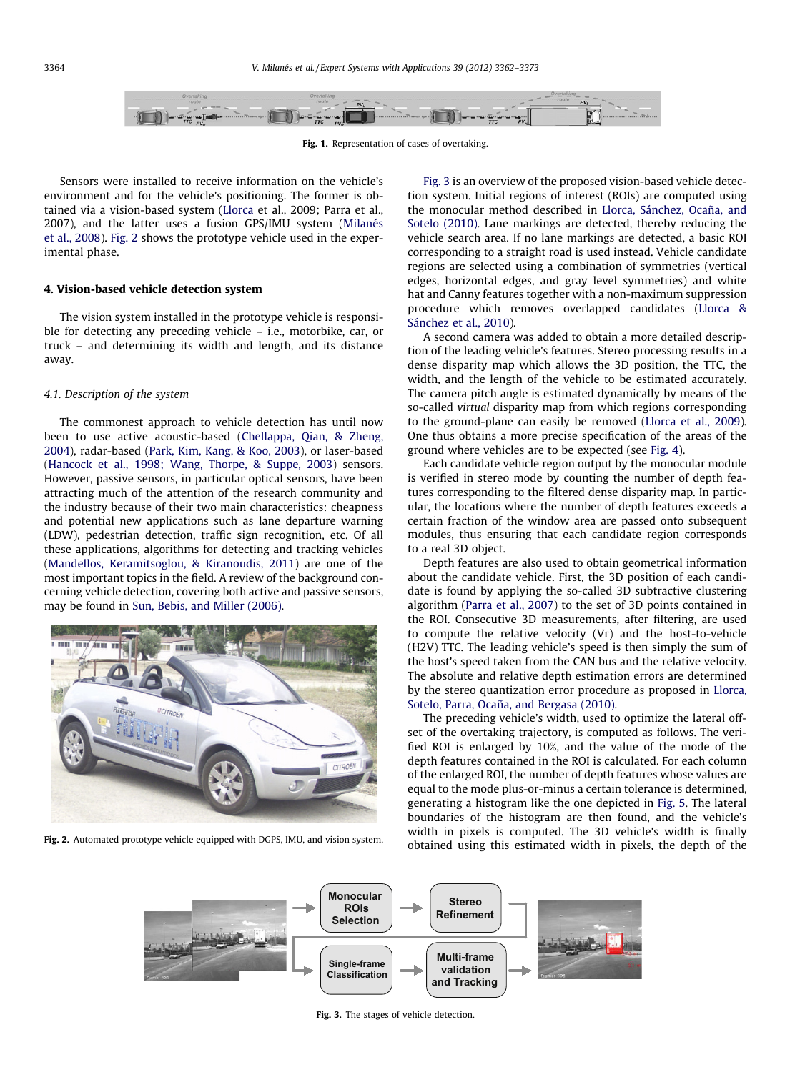<span id="page-2-0"></span>

Fig. 1. Representation of cases of overtaking.

Sensors were installed to receive information on the vehicle's environment and for the vehicle's positioning. The former is obtained via a vision-based system [\(Llorca](#page-10-0) et al., 2009; Parra et al., 2007), and the latter uses a fusion GPS/IMU system [\(Milanés](#page-10-0) [et al., 2008](#page-10-0)). Fig. 2 shows the prototype vehicle used in the experimental phase.

## 4. Vision-based vehicle detection system

The vision system installed in the prototype vehicle is responsible for detecting any preceding vehicle – i.e., motorbike, car, or truck – and determining its width and length, and its distance away.

# 4.1. Description of the system

The commonest approach to vehicle detection has until now been to use active acoustic-based ([Chellappa, Qian, & Zheng,](#page-10-0) [2004\)](#page-10-0), radar-based [\(Park, Kim, Kang, & Koo, 2003](#page-10-0)), or laser-based ([Hancock et al., 1998; Wang, Thorpe, & Suppe, 2003](#page-10-0)) sensors. However, passive sensors, in particular optical sensors, have been attracting much of the attention of the research community and the industry because of their two main characteristics: cheapness and potential new applications such as lane departure warning (LDW), pedestrian detection, traffic sign recognition, etc. Of all these applications, algorithms for detecting and tracking vehicles ([Mandellos, Keramitsoglou, & Kiranoudis, 2011](#page-10-0)) are one of the most important topics in the field. A review of the background concerning vehicle detection, covering both active and passive sensors, may be found in [Sun, Bebis, and Miller \(2006\)](#page-10-0).



Fig. 2. Automated prototype vehicle equipped with DGPS, IMU, and vision system.

Fig. 3 is an overview of the proposed vision-based vehicle detection system. Initial regions of interest (ROIs) are computed using the monocular method described in [Llorca, Sánchez, Ocaña, and](#page-10-0) [Sotelo \(2010\)](#page-10-0). Lane markings are detected, thereby reducing the vehicle search area. If no lane markings are detected, a basic ROI corresponding to a straight road is used instead. Vehicle candidate regions are selected using a combination of symmetries (vertical edges, horizontal edges, and gray level symmetries) and white hat and Canny features together with a non-maximum suppression procedure which removes overlapped candidates [\(Llorca &](#page-10-0) [Sánchez et al., 2010](#page-10-0)).

A second camera was added to obtain a more detailed description of the leading vehicle's features. Stereo processing results in a dense disparity map which allows the 3D position, the TTC, the width, and the length of the vehicle to be estimated accurately. The camera pitch angle is estimated dynamically by means of the so-called virtual disparity map from which regions corresponding to the ground-plane can easily be removed ([Llorca et al., 2009\)](#page-10-0). One thus obtains a more precise specification of the areas of the ground where vehicles are to be expected (see [Fig. 4](#page-3-0)).

Each candidate vehicle region output by the monocular module is verified in stereo mode by counting the number of depth features corresponding to the filtered dense disparity map. In particular, the locations where the number of depth features exceeds a certain fraction of the window area are passed onto subsequent modules, thus ensuring that each candidate region corresponds to a real 3D object.

Depth features are also used to obtain geometrical information about the candidate vehicle. First, the 3D position of each candidate is found by applying the so-called 3D subtractive clustering algorithm ([Parra et al., 2007\)](#page-10-0) to the set of 3D points contained in the ROI. Consecutive 3D measurements, after filtering, are used to compute the relative velocity (Vr) and the host-to-vehicle (H2V) TTC. The leading vehicle's speed is then simply the sum of the host's speed taken from the CAN bus and the relative velocity. The absolute and relative depth estimation errors are determined by the stereo quantization error procedure as proposed in [Llorca,](#page-10-0) [Sotelo, Parra, Ocaña, and Bergasa \(2010\).](#page-10-0)

The preceding vehicle's width, used to optimize the lateral offset of the overtaking trajectory, is computed as follows. The verified ROI is enlarged by 10%, and the value of the mode of the depth features contained in the ROI is calculated. For each column of the enlarged ROI, the number of depth features whose values are equal to the mode plus-or-minus a certain tolerance is determined, generating a histogram like the one depicted in [Fig. 5](#page-3-0). The lateral boundaries of the histogram are then found, and the vehicle's width in pixels is computed. The 3D vehicle's width is finally obtained using this estimated width in pixels, the depth of the



Fig. 3. The stages of vehicle detection.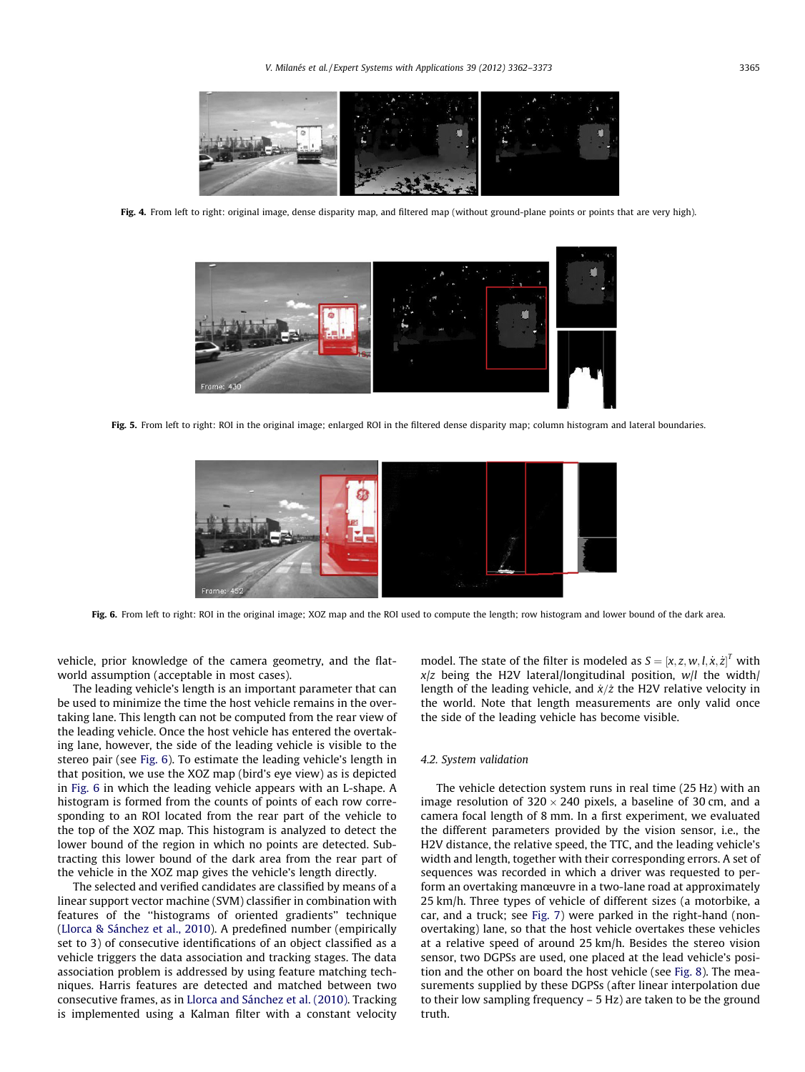<span id="page-3-0"></span>

Fig. 4. From left to right: original image, dense disparity map, and filtered map (without ground-plane points or points that are very high).



Fig. 5. From left to right: ROI in the original image; enlarged ROI in the filtered dense disparity map; column histogram and lateral boundaries.



Fig. 6. From left to right: ROI in the original image; XOZ map and the ROI used to compute the length; row histogram and lower bound of the dark area.

vehicle, prior knowledge of the camera geometry, and the flatworld assumption (acceptable in most cases).

The leading vehicle's length is an important parameter that can be used to minimize the time the host vehicle remains in the overtaking lane. This length can not be computed from the rear view of the leading vehicle. Once the host vehicle has entered the overtaking lane, however, the side of the leading vehicle is visible to the stereo pair (see Fig. 6). To estimate the leading vehicle's length in that position, we use the XOZ map (bird's eye view) as is depicted in Fig. 6 in which the leading vehicle appears with an L-shape. A histogram is formed from the counts of points of each row corresponding to an ROI located from the rear part of the vehicle to the top of the XOZ map. This histogram is analyzed to detect the lower bound of the region in which no points are detected. Subtracting this lower bound of the dark area from the rear part of the vehicle in the XOZ map gives the vehicle's length directly.

The selected and verified candidates are classified by means of a linear support vector machine (SVM) classifier in combination with features of the ''histograms of oriented gradients'' technique ([Llorca & Sánchez et al., 2010\)](#page-10-0). A predefined number (empirically set to 3) of consecutive identifications of an object classified as a vehicle triggers the data association and tracking stages. The data association problem is addressed by using feature matching techniques. Harris features are detected and matched between two consecutive frames, as in [Llorca and Sánchez et al. \(2010\)](#page-10-0). Tracking is implemented using a Kalman filter with a constant velocity

model. The state of the filter is modeled as  $S = [x, z, w, l, \dot{x}, \dot{z}]^T$  with  $x/z$  being the H2V lateral/longitudinal position,  $w/l$  the width/ length of the leading vehicle, and  $\dot{x}/\dot{z}$  the H2V relative velocity in the world. Note that length measurements are only valid once the side of the leading vehicle has become visible.

# 4.2. System validation

The vehicle detection system runs in real time (25 Hz) with an image resolution of  $320 \times 240$  pixels, a baseline of 30 cm, and a camera focal length of 8 mm. In a first experiment, we evaluated the different parameters provided by the vision sensor, i.e., the H2V distance, the relative speed, the TTC, and the leading vehicle's width and length, together with their corresponding errors. A set of sequences was recorded in which a driver was requested to perform an overtaking manœuvre in a two-lane road at approximately 25 km/h. Three types of vehicle of different sizes (a motorbike, a car, and a truck; see [Fig. 7\)](#page-4-0) were parked in the right-hand (nonovertaking) lane, so that the host vehicle overtakes these vehicles at a relative speed of around 25 km/h. Besides the stereo vision sensor, two DGPSs are used, one placed at the lead vehicle's position and the other on board the host vehicle (see [Fig. 8\)](#page-4-0). The measurements supplied by these DGPSs (after linear interpolation due to their low sampling frequency – 5 Hz) are taken to be the ground truth.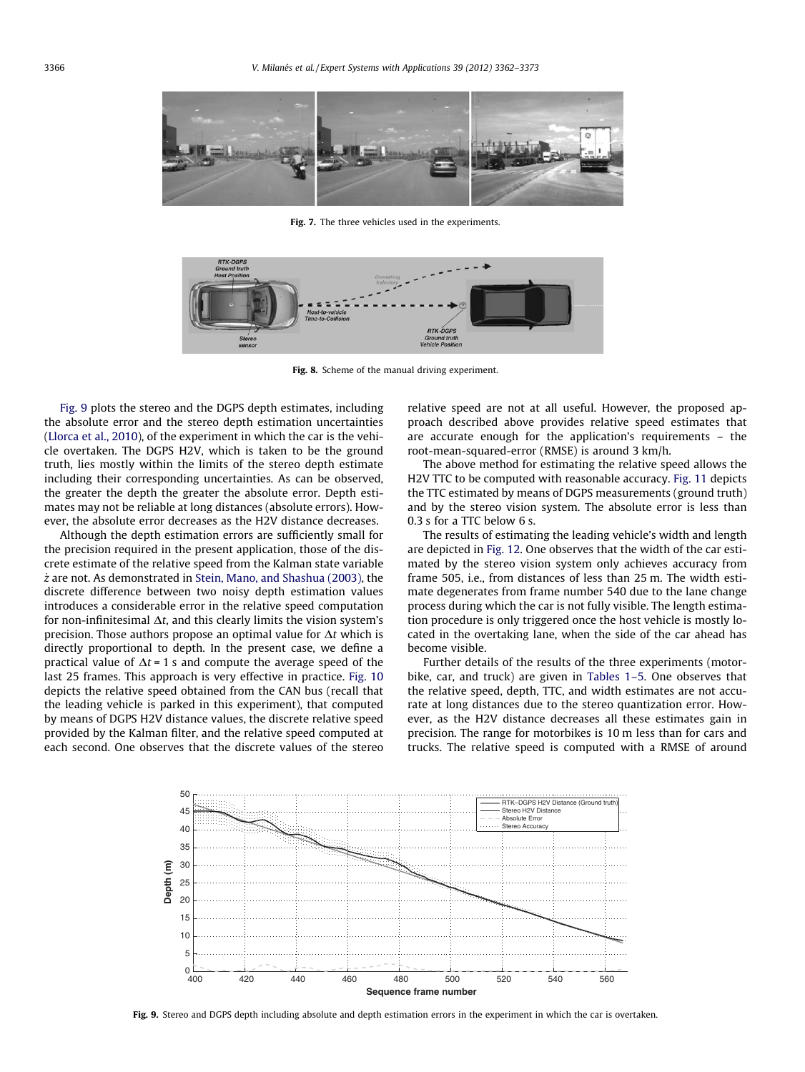<span id="page-4-0"></span>

Fig. 7. The three vehicles used in the experiments.



Fig. 8. Scheme of the manual driving experiment.

Fig. 9 plots the stereo and the DGPS depth estimates, including the absolute error and the stereo depth estimation uncertainties ([Llorca et al., 2010\)](#page-10-0), of the experiment in which the car is the vehicle overtaken. The DGPS H2V, which is taken to be the ground truth, lies mostly within the limits of the stereo depth estimate including their corresponding uncertainties. As can be observed, the greater the depth the greater the absolute error. Depth estimates may not be reliable at long distances (absolute errors). However, the absolute error decreases as the H2V distance decreases.

Although the depth estimation errors are sufficiently small for the precision required in the present application, those of the discrete estimate of the relative speed from the Kalman state variable  $\dot{z}$  are not. As demonstrated in [Stein, Mano, and Shashua \(2003\),](#page-10-0) the discrete difference between two noisy depth estimation values introduces a considerable error in the relative speed computation for non-infinitesimal  $\Delta t$ , and this clearly limits the vision system's precision. Those authors propose an optimal value for  $\Delta t$  which is directly proportional to depth. In the present case, we define a practical value of  $\Delta t = 1$  s and compute the average speed of the last 25 frames. This approach is very effective in practice. [Fig. 10](#page-5-0) depicts the relative speed obtained from the CAN bus (recall that the leading vehicle is parked in this experiment), that computed by means of DGPS H2V distance values, the discrete relative speed provided by the Kalman filter, and the relative speed computed at each second. One observes that the discrete values of the stereo relative speed are not at all useful. However, the proposed approach described above provides relative speed estimates that are accurate enough for the application's requirements – the root-mean-squared-error (RMSE) is around 3 km/h.

The above method for estimating the relative speed allows the H2V TTC to be computed with reasonable accuracy. [Fig. 11](#page-5-0) depicts the TTC estimated by means of DGPS measurements (ground truth) and by the stereo vision system. The absolute error is less than 0.3 s for a TTC below 6 s.

The results of estimating the leading vehicle's width and length are depicted in [Fig. 12.](#page-5-0) One observes that the width of the car estimated by the stereo vision system only achieves accuracy from frame 505, i.e., from distances of less than 25 m. The width estimate degenerates from frame number 540 due to the lane change process during which the car is not fully visible. The length estimation procedure is only triggered once the host vehicle is mostly located in the overtaking lane, when the side of the car ahead has become visible.

Further details of the results of the three experiments (motorbike, car, and truck) are given in [Tables 1–5.](#page-5-0) One observes that the relative speed, depth, TTC, and width estimates are not accurate at long distances due to the stereo quantization error. However, as the H2V distance decreases all these estimates gain in precision. The range for motorbikes is 10 m less than for cars and trucks. The relative speed is computed with a RMSE of around



Fig. 9. Stereo and DGPS depth including absolute and depth estimation errors in the experiment in which the car is overtaken.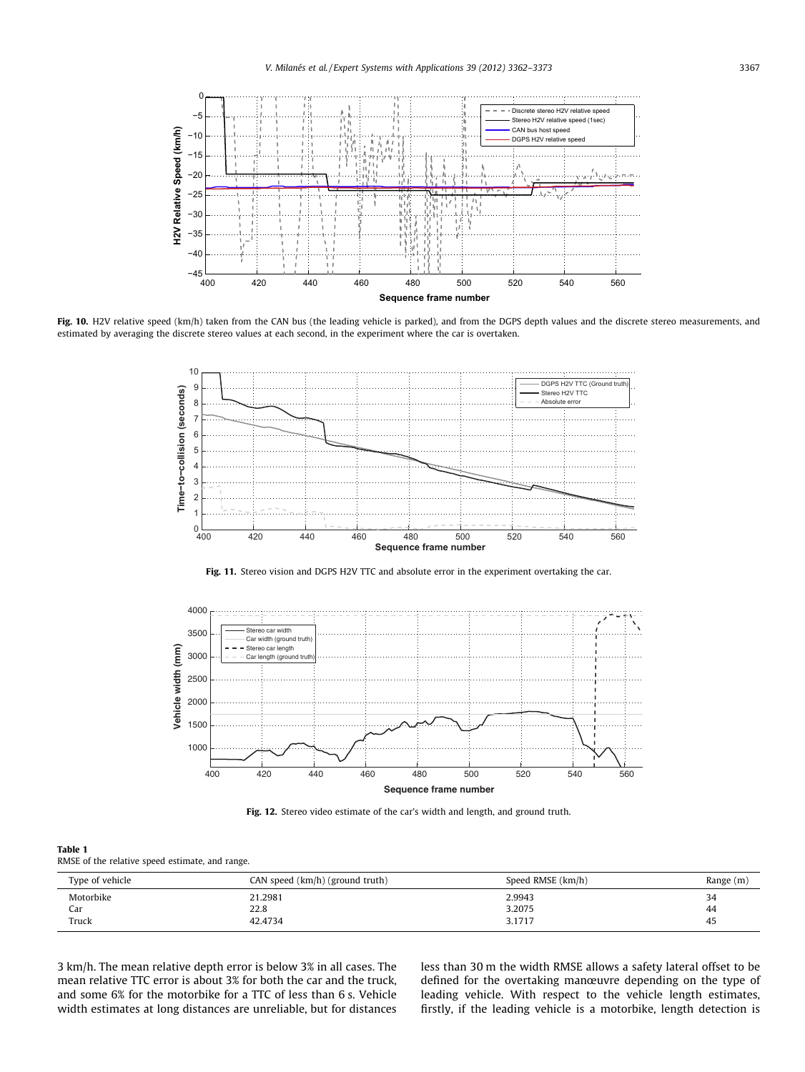<span id="page-5-0"></span>

Fig. 10. H2V relative speed (km/h) taken from the CAN bus (the leading vehicle is parked), and from the DGPS depth values and the discrete stereo measurements, and estimated by averaging the discrete stereo values at each second, in the experiment where the car is overtaken.



Fig. 11. Stereo vision and DGPS H2V TTC and absolute error in the experiment overtaking the car.



Fig. 12. Stereo video estimate of the car's width and length, and ground truth.

# Table 1

RMSE of the relative speed estimate, and range.

| Type of vehicle | CAN speed (km/h) (ground truth) | Speed RMSE (km/h) | Range (m) |
|-----------------|---------------------------------|-------------------|-----------|
| Motorbike       | 21.2981                         | 2.9943            | 34        |
| Car             | 22.8                            | 3.2075            | 44        |
| Truck           | 42.4734                         | 3.1717            | 45        |

3 km/h. The mean relative depth error is below 3% in all cases. The mean relative TTC error is about 3% for both the car and the truck, and some 6% for the motorbike for a TTC of less than 6 s. Vehicle width estimates at long distances are unreliable, but for distances less than 30 m the width RMSE allows a safety lateral offset to be defined for the overtaking manœuvre depending on the type of leading vehicle. With respect to the vehicle length estimates, firstly, if the leading vehicle is a motorbike, length detection is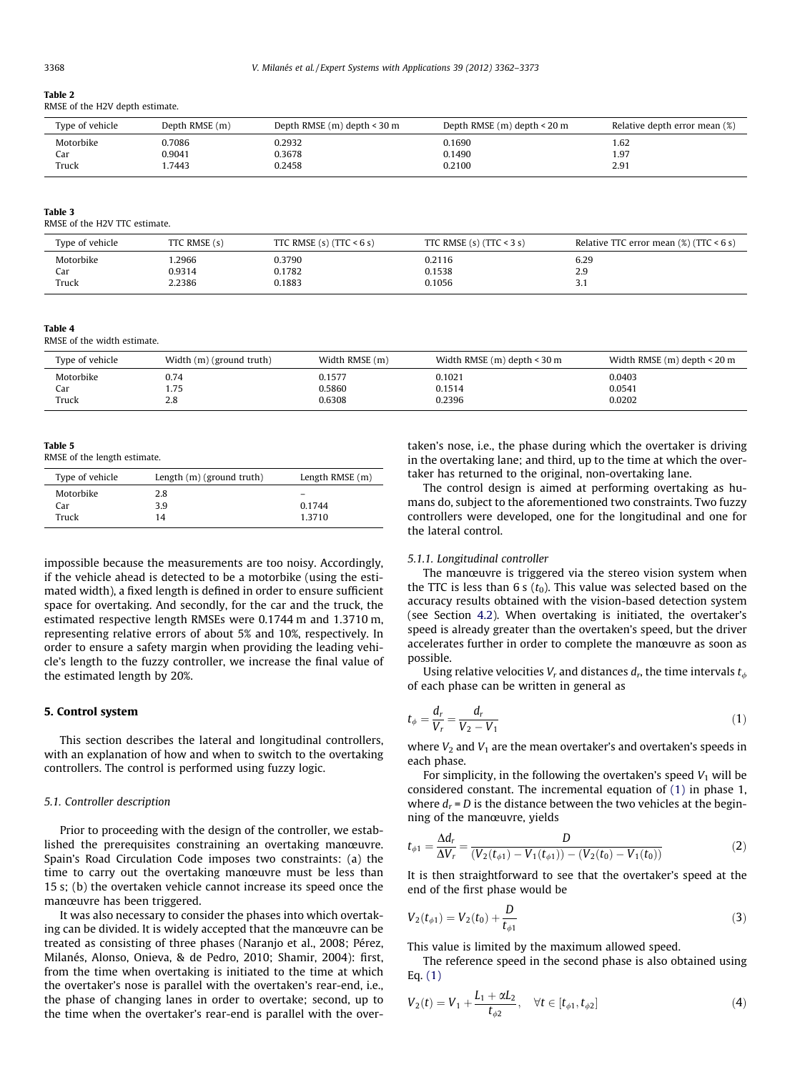#### <span id="page-6-0"></span>Table 2

RMSE of the H2V depth estimate.

| Type of vehicle | Depth RMSE (m) | Depth RMSE $(m)$ depth $\leq 30$ m | Depth RMSE $(m)$ depth $\leq 20$ m | Relative depth error mean (%) |
|-----------------|----------------|------------------------------------|------------------------------------|-------------------------------|
| Motorbike       | 0.7086         | 0.2932                             | 0.1690                             | 1.62                          |
| Car             | 0.9041         | 0.3678                             | 0.1490                             | 1.97                          |
| Truck           | .7443          | 0.2458                             | 0.2100                             | 2.91                          |
|                 |                |                                    |                                    |                               |

#### Table 3

RMSE of the H2V TTC estimate.

| Type of vehicle | TTC RMSE (s) | TTC RMSE $(s)$ (TTC < 6 s) | TTC RMSE $(s)$ (TTC < 3 s) | Relative TTC error mean $(\%)$ (TTC < 6 s) |
|-----------------|--------------|----------------------------|----------------------------|--------------------------------------------|
| Motorbike       | .2966        | 0.3790                     | 0.2116                     | 6.29                                       |
| Car             | 0.9314       | 0.1782                     | 0.1538                     | 2.9                                        |
| Truck           | 2.2386       | 0.1883                     | 0.1056                     |                                            |

#### Table 4

RMSE of the width estimate.

| Type of vehicle | Width (m) (ground truth) | Width RMSE (m) | Width RMSE $(m)$ depth $\leq$ 30 m | Width RMSE $(m)$ depth $\leq 20$ m |
|-----------------|--------------------------|----------------|------------------------------------|------------------------------------|
| Motorbike       | 0.74                     | 0.1577         | 0.1021                             | 0.0403                             |
| Car             | 1.75                     | 0.5860         | 0.1514                             | 0.0541                             |
| Truck           | 2.8                      | 0.6308         | 0.2396                             | 0.0202                             |

Table 5

RMSE of the length estimate.

| Type of vehicle | Length $(m)$ (ground truth) | Length RMSE (m) |
|-----------------|-----------------------------|-----------------|
| Motorbike       | 2.8                         |                 |
| Car             | 3.9                         | 0.1744          |
| Truck           | 14                          | 1.3710          |

impossible because the measurements are too noisy. Accordingly, if the vehicle ahead is detected to be a motorbike (using the estimated width), a fixed length is defined in order to ensure sufficient space for overtaking. And secondly, for the car and the truck, the estimated respective length RMSEs were 0.1744 m and 1.3710 m, representing relative errors of about 5% and 10%, respectively. In order to ensure a safety margin when providing the leading vehicle's length to the fuzzy controller, we increase the final value of the estimated length by 20%.

# 5. Control system

This section describes the lateral and longitudinal controllers, with an explanation of how and when to switch to the overtaking controllers. The control is performed using fuzzy logic.

#### 5.1. Controller description

Prior to proceeding with the design of the controller, we established the prerequisites constraining an overtaking manœuvre. Spain's Road Circulation Code imposes two constraints: (a) the time to carry out the overtaking manœuvre must be less than 15 s; (b) the overtaken vehicle cannot increase its speed once the manœuvre has been triggered.

It was also necessary to consider the phases into which overtaking can be divided. It is widely accepted that the manœuvre can be treated as consisting of three phases (Naranjo et al., 2008; Pérez, Milanés, Alonso, Onieva, & de Pedro, 2010; Shamir, 2004): first, from the time when overtaking is initiated to the time at which the overtaker's nose is parallel with the overtaken's rear-end, i.e., the phase of changing lanes in order to overtake; second, up to the time when the overtaker's rear-end is parallel with the overtaken's nose, i.e., the phase during which the overtaker is driving in the overtaking lane; and third, up to the time at which the overtaker has returned to the original, non-overtaking lane.

The control design is aimed at performing overtaking as humans do, subject to the aforementioned two constraints. Two fuzzy controllers were developed, one for the longitudinal and one for the lateral control.

## 5.1.1. Longitudinal controller

The manœuvre is triggered via the stereo vision system when the TTC is less than 6 s  $(t_0)$ . This value was selected based on the accuracy results obtained with the vision-based detection system (see Section [4.2\)](#page-3-0). When overtaking is initiated, the overtaker's speed is already greater than the overtaken's speed, but the driver accelerates further in order to complete the manœuvre as soon as possible.

Using relative velocities  $V_r$  and distances  $d_r$ , the time intervals  $t_{\phi}$ of each phase can be written in general as

$$
t_{\phi} = \frac{d_r}{V_r} = \frac{d_r}{V_2 - V_1} \tag{1}
$$

where  $V_2$  and  $V_1$  are the mean overtaker's and overtaken's speeds in each phase.

For simplicity, in the following the overtaken's speed  $V_1$  will be considered constant. The incremental equation of (1) in phase 1, where  $d_r$  = D is the distance between the two vehicles at the beginning of the manœuvre, yields

$$
t_{\phi 1} = \frac{\Delta d_r}{\Delta V_r} = \frac{D}{(V_2(t_{\phi 1}) - V_1(t_{\phi 1})) - (V_2(t_0) - V_1(t_0))}
$$
(2)

It is then straightforward to see that the overtaker's speed at the end of the first phase would be

$$
V_2(t_{\phi 1}) = V_2(t_0) + \frac{D}{t_{\phi 1}}
$$
\n(3)

This value is limited by the maximum allowed speed.

The reference speed in the second phase is also obtained using Eq. (1)

$$
V_2(t) = V_1 + \frac{L_1 + \alpha L_2}{t_{\phi 2}}, \quad \forall t \in [t_{\phi 1}, t_{\phi 2}]
$$
 (4)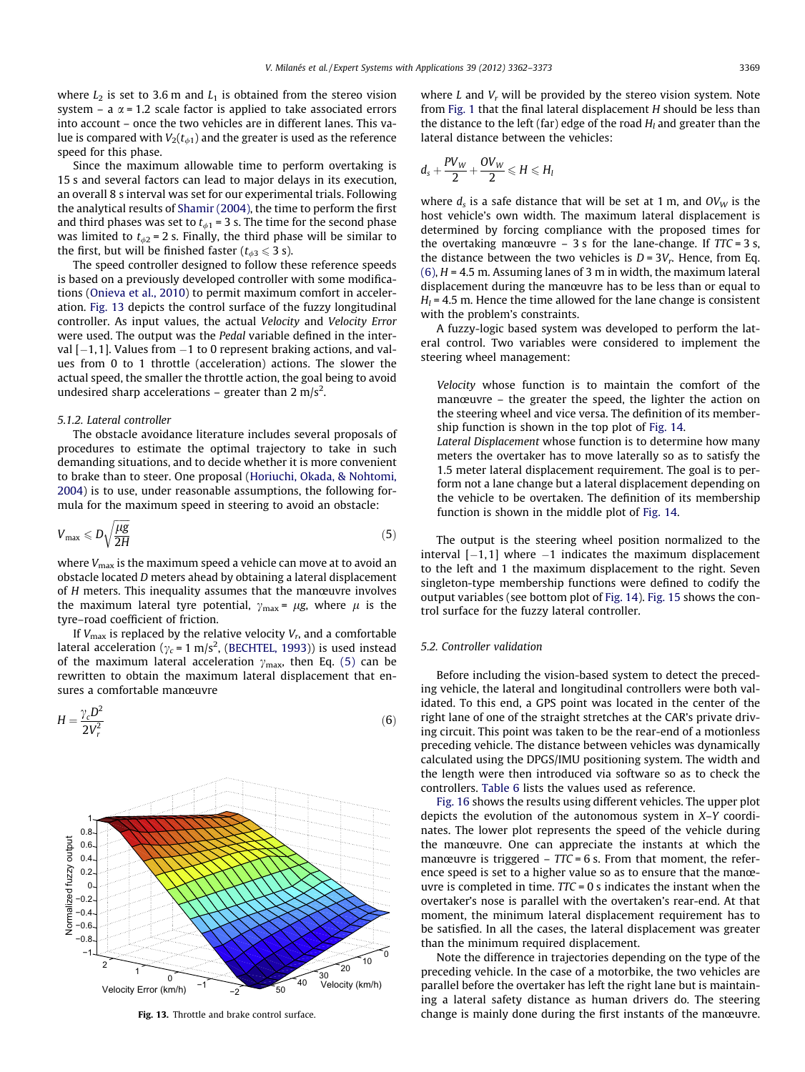where  $L_2$  is set to 3.6 m and  $L_1$  is obtained from the stereo vision system – a  $\alpha$  = 1.2 scale factor is applied to take associated errors into account – once the two vehicles are in different lanes. This value is compared with  $V_2(t_{\phi 1})$  and the greater is used as the reference speed for this phase.

Since the maximum allowable time to perform overtaking is 15 s and several factors can lead to major delays in its execution, an overall 8 s interval was set for our experimental trials. Following the analytical results of [Shamir \(2004\)](#page-10-0), the time to perform the first and third phases was set to  $t_{\phi1}$  = 3 s. The time for the second phase was limited to  $t_{d2}$  = 2 s. Finally, the third phase will be similar to the first, but will be finished faster ( $t_{\phi 3} \leq 3$  s).

The speed controller designed to follow these reference speeds is based on a previously developed controller with some modifications ([Onieva et al., 2010](#page-10-0)) to permit maximum comfort in acceleration. Fig. 13 depicts the control surface of the fuzzy longitudinal controller. As input values, the actual Velocity and Velocity Error were used. The output was the Pedal variable defined in the interval  $[-1,1]$ . Values from  $-1$  to 0 represent braking actions, and values from 0 to 1 throttle (acceleration) actions. The slower the actual speed, the smaller the throttle action, the goal being to avoid undesired sharp accelerations – greater than 2 m/s<sup>2</sup>.

#### 5.1.2. Lateral controller

The obstacle avoidance literature includes several proposals of procedures to estimate the optimal trajectory to take in such demanding situations, and to decide whether it is more convenient to brake than to steer. One proposal ([Horiuchi, Okada, & Nohtomi,](#page-10-0) [2004](#page-10-0)) is to use, under reasonable assumptions, the following formula for the maximum speed in steering to avoid an obstacle:

$$
V_{\text{max}} \leqslant D\sqrt{\frac{\mu g}{2H}}\tag{5}
$$

where  $V_{\text{max}}$  is the maximum speed a vehicle can move at to avoid an obstacle located D meters ahead by obtaining a lateral displacement of H meters. This inequality assumes that the manœuvre involves the maximum lateral tyre potential,  $\gamma_{\text{max}} = \mu g$ , where  $\mu$  is the tyre–road coefficient of friction.

If  $V_{\text{max}}$  is replaced by the relative velocity  $V_r$ , and a comfortable lateral acceleration ( $\gamma_c$  = 1 m/s<sup>2</sup>, [\(BECHTEL, 1993](#page-10-0))) is used instead of the maximum lateral acceleration  $\gamma_{\text{max}}$ , then Eq. (5) can be rewritten to obtain the maximum lateral displacement that ensures a comfortable manœuvre

$$
H = \frac{\gamma_c D^2}{2V_r^2} \tag{6}
$$



Fig. 13. Throttle and brake control surface.

where L and  $V_r$  will be provided by the stereo vision system. Note from [Fig. 1](#page-2-0) that the final lateral displacement H should be less than the distance to the left (far) edge of the road  $H_l$  and greater than the lateral distance between the vehicles:

$$
d_s+\frac{PV_W}{2}+\frac{OV_W}{2}\leqslant H\leqslant H_l
$$

where  $d_s$  is a safe distance that will be set at 1 m, and  $OV_W$  is the host vehicle's own width. The maximum lateral displacement is determined by forcing compliance with the proposed times for the overtaking manœuvre  $-3$  s for the lane-change. If TTC = 3 s, the distance between the two vehicles is  $D = 3V_r$ . Hence, from Eq.  $(6)$ ,  $H = 4.5$  m. Assuming lanes of 3 m in width, the maximum lateral displacement during the manœuvre has to be less than or equal to  $H<sub>l</sub> = 4.5$  m. Hence the time allowed for the lane change is consistent with the problem's constraints.

A fuzzy-logic based system was developed to perform the lateral control. Two variables were considered to implement the steering wheel management:

Velocity whose function is to maintain the comfort of the manœuvre – the greater the speed, the lighter the action on the steering wheel and vice versa. The definition of its membership function is shown in the top plot of [Fig. 14.](#page-8-0)

Lateral Displacement whose function is to determine how many meters the overtaker has to move laterally so as to satisfy the 1.5 meter lateral displacement requirement. The goal is to perform not a lane change but a lateral displacement depending on the vehicle to be overtaken. The definition of its membership function is shown in the middle plot of [Fig. 14](#page-8-0).

The output is the steering wheel position normalized to the interval  $[-1,1]$  where  $-1$  indicates the maximum displacement to the left and 1 the maximum displacement to the right. Seven singleton-type membership functions were defined to codify the output variables (see bottom plot of [Fig. 14](#page-8-0)). [Fig. 15](#page-8-0) shows the control surface for the fuzzy lateral controller.

## 5.2. Controller validation

Before including the vision-based system to detect the preceding vehicle, the lateral and longitudinal controllers were both validated. To this end, a GPS point was located in the center of the right lane of one of the straight stretches at the CAR's private driving circuit. This point was taken to be the rear-end of a motionless preceding vehicle. The distance between vehicles was dynamically calculated using the DPGS/IMU positioning system. The width and the length were then introduced via software so as to check the controllers. [Table 6](#page-8-0) lists the values used as reference.

[Fig. 16](#page-9-0) shows the results using different vehicles. The upper plot depicts the evolution of the autonomous system in X–Y coordinates. The lower plot represents the speed of the vehicle during the manœuvre. One can appreciate the instants at which the manœuvre is triggered  $-$  TTC = 6 s. From that moment, the reference speed is set to a higher value so as to ensure that the manœuvre is completed in time.  $TTC = 0$  s indicates the instant when the overtaker's nose is parallel with the overtaken's rear-end. At that moment, the minimum lateral displacement requirement has to be satisfied. In all the cases, the lateral displacement was greater than the minimum required displacement.

Note the difference in trajectories depending on the type of the preceding vehicle. In the case of a motorbike, the two vehicles are parallel before the overtaker has left the right lane but is maintaining a lateral safety distance as human drivers do. The steering change is mainly done during the first instants of the manœuvre.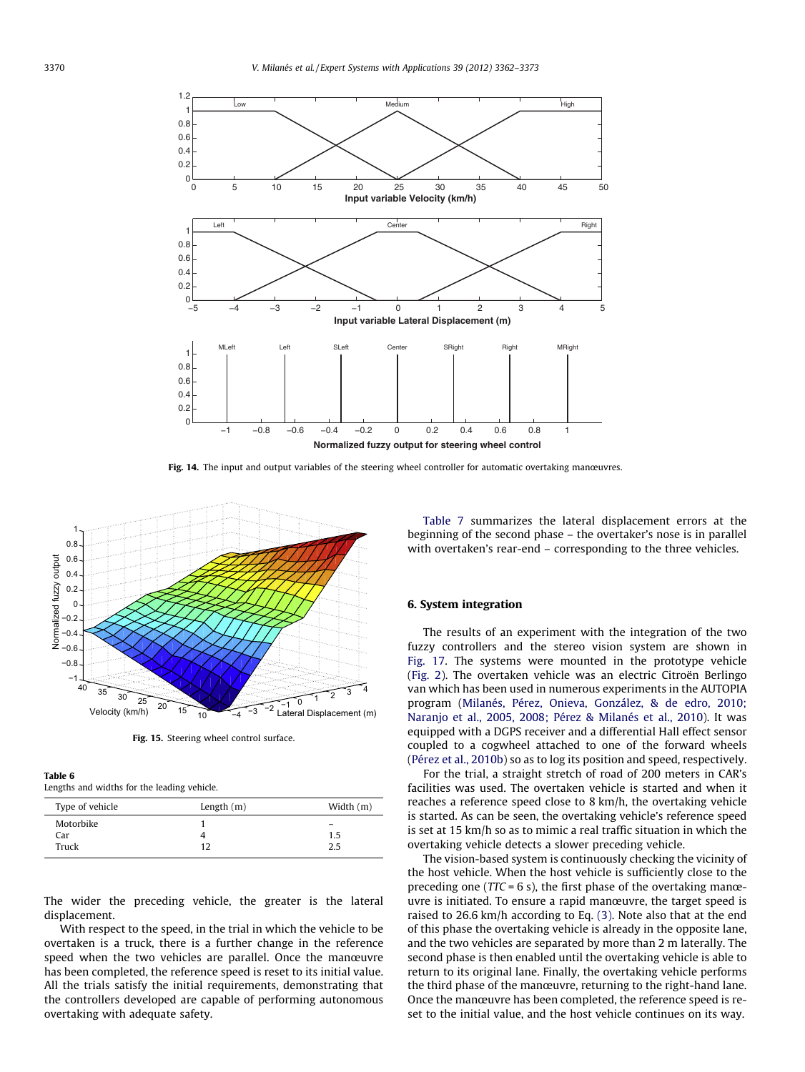<span id="page-8-0"></span>

Fig. 14. The input and output variables of the steering wheel controller for automatic overtaking manœuvres.



Fig. 15. Steering wheel control surface.

# Table 6

Lengths and widths for the leading vehicle.

| Type of vehicle | Length $(m)$ | Width (m) |
|-----------------|--------------|-----------|
| Motorbike       |              |           |
| Car             |              | 1.5       |
| Truck           | 12           | 2.5       |

The wider the preceding vehicle, the greater is the lateral displacement.

With respect to the speed, in the trial in which the vehicle to be overtaken is a truck, there is a further change in the reference speed when the two vehicles are parallel. Once the manœuvre has been completed, the reference speed is reset to its initial value. All the trials satisfy the initial requirements, demonstrating that the controllers developed are capable of performing autonomous overtaking with adequate safety.

[Table 7](#page-9-0) summarizes the lateral displacement errors at the beginning of the second phase – the overtaker's nose is in parallel with overtaken's rear-end – corresponding to the three vehicles.

# 6. System integration

The results of an experiment with the integration of the two fuzzy controllers and the stereo vision system are shown in [Fig. 17](#page-9-0). The systems were mounted in the prototype vehicle ([Fig. 2\)](#page-2-0). The overtaken vehicle was an electric Citroën Berlingo van which has been used in numerous experiments in the AUTOPIA program [\(Milanés, Pérez, Onieva, González, & de edro, 2010;](#page-10-0) [Naranjo et al., 2005, 2008; Pérez & Milanés et al., 2010](#page-10-0)). It was equipped with a DGPS receiver and a differential Hall effect sensor coupled to a cogwheel attached to one of the forward wheels ([Pérez et al., 2010b](#page-10-0)) so as to log its position and speed, respectively.

For the trial, a straight stretch of road of 200 meters in CAR's facilities was used. The overtaken vehicle is started and when it reaches a reference speed close to 8 km/h, the overtaking vehicle is started. As can be seen, the overtaking vehicle's reference speed is set at 15 km/h so as to mimic a real traffic situation in which the overtaking vehicle detects a slower preceding vehicle.

The vision-based system is continuously checking the vicinity of the host vehicle. When the host vehicle is sufficiently close to the preceding one ( $TTC = 6$  s), the first phase of the overtaking manœuvre is initiated. To ensure a rapid manœuvre, the target speed is raised to 26.6 km/h according to Eq. [\(3\).](#page-6-0) Note also that at the end of this phase the overtaking vehicle is already in the opposite lane, and the two vehicles are separated by more than 2 m laterally. The second phase is then enabled until the overtaking vehicle is able to return to its original lane. Finally, the overtaking vehicle performs the third phase of the manœuvre, returning to the right-hand lane. Once the manœuvre has been completed, the reference speed is reset to the initial value, and the host vehicle continues on its way.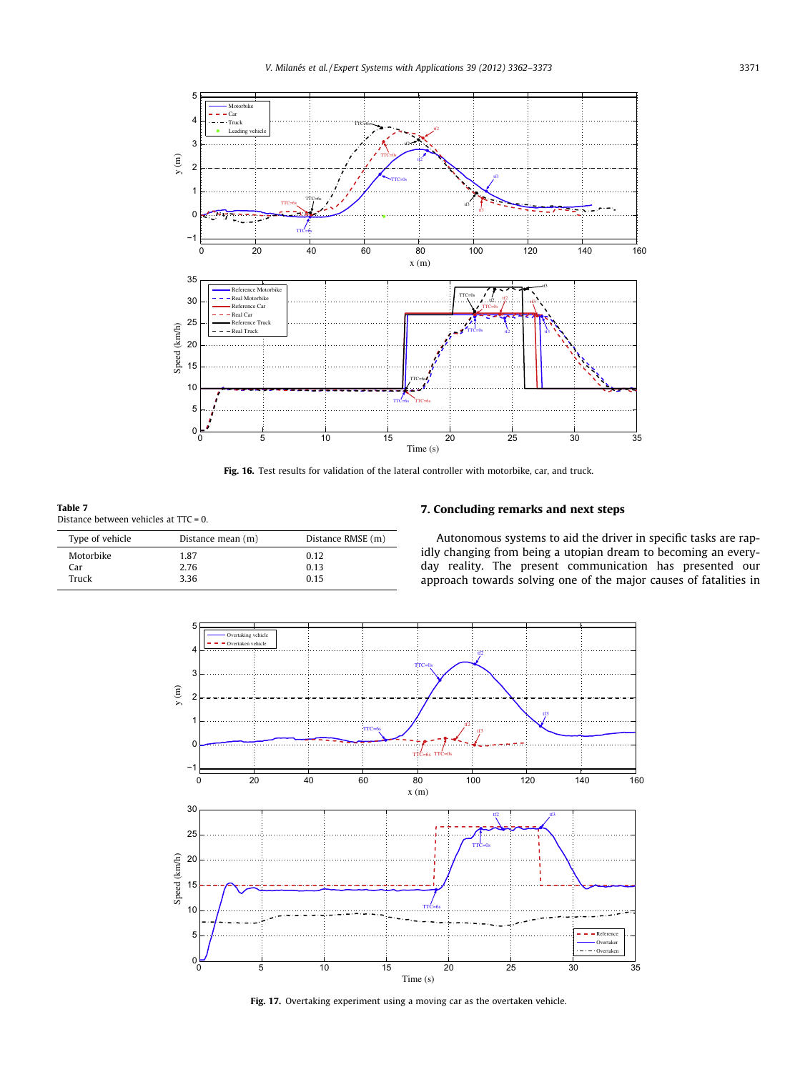<span id="page-9-0"></span>

Fig. 16. Test results for validation of the lateral controller with motorbike, car, and truck.

Table 7 Distance between vehicles at TTC = 0.

| Type of vehicle<br>Distance mean (m) |      | Distance RMSE (m) |
|--------------------------------------|------|-------------------|
| Motorbike                            | 1.87 | 0.12              |
| Car                                  | 2.76 | 0.13              |
| Truck                                | 3.36 | 0.15              |
|                                      |      |                   |

# 7. Concluding remarks and next steps

Autonomous systems to aid the driver in specific tasks are rapidly changing from being a utopian dream to becoming an everyday reality. The present communication has presented our approach towards solving one of the major causes of fatalities in



Fig. 17. Overtaking experiment using a moving car as the overtaken vehicle.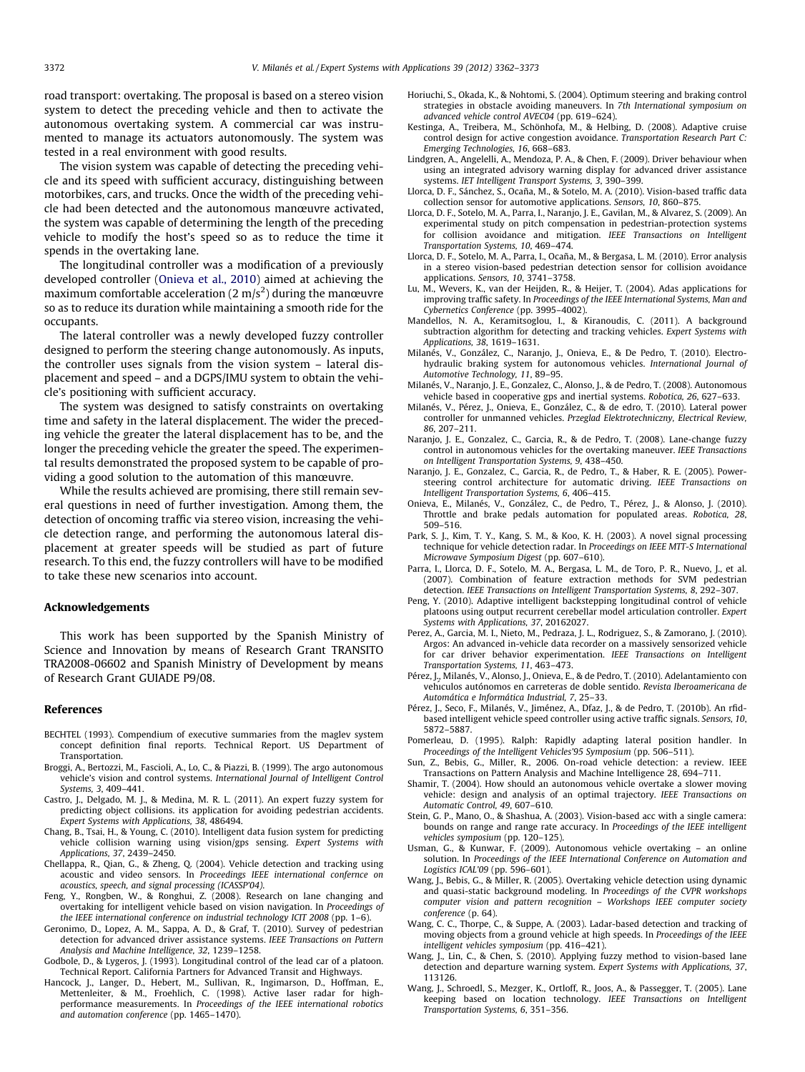<span id="page-10-0"></span>road transport: overtaking. The proposal is based on a stereo vision system to detect the preceding vehicle and then to activate the autonomous overtaking system. A commercial car was instrumented to manage its actuators autonomously. The system was tested in a real environment with good results.

The vision system was capable of detecting the preceding vehicle and its speed with sufficient accuracy, distinguishing between motorbikes, cars, and trucks. Once the width of the preceding vehicle had been detected and the autonomous manœuvre activated, the system was capable of determining the length of the preceding vehicle to modify the host's speed so as to reduce the time it spends in the overtaking lane.

The longitudinal controller was a modification of a previously developed controller (Onieva et al., 2010) aimed at achieving the maximum comfortable acceleration (2 m/s $^2$ ) during the manœuvre so as to reduce its duration while maintaining a smooth ride for the occupants.

The lateral controller was a newly developed fuzzy controller designed to perform the steering change autonomously. As inputs, the controller uses signals from the vision system – lateral displacement and speed – and a DGPS/IMU system to obtain the vehicle's positioning with sufficient accuracy.

The system was designed to satisfy constraints on overtaking time and safety in the lateral displacement. The wider the preceding vehicle the greater the lateral displacement has to be, and the longer the preceding vehicle the greater the speed. The experimental results demonstrated the proposed system to be capable of providing a good solution to the automation of this manœuvre.

While the results achieved are promising, there still remain several questions in need of further investigation. Among them, the detection of oncoming traffic via stereo vision, increasing the vehicle detection range, and performing the autonomous lateral displacement at greater speeds will be studied as part of future research. To this end, the fuzzy controllers will have to be modified to take these new scenarios into account.

## Acknowledgements

This work has been supported by the Spanish Ministry of Science and Innovation by means of Research Grant TRANSITO TRA2008-06602 and Spanish Ministry of Development by means of Research Grant GUIADE P9/08.

#### References

- BECHTEL (1993). Compendium of executive summaries from the maglev system concept definition final reports. Technical Report. US Department of Transportation.
- Broggi, A., Bertozzi, M., Fascioli, A., Lo, C., & Piazzi, B. (1999). The argo autonomous vehicle's vision and control systems. International Journal of Intelligent Control Systems, 3, 409–441.
- Castro, J., Delgado, M. J., & Medina, M. R. L. (2011). An expert fuzzy system for predicting object collisions. its application for avoiding pedestrian accidents. Expert Systems with Applications, 38, 486494.
- Chang, B., Tsai, H., & Young, C. (2010). Intelligent data fusion system for predicting vehicle collision warning using vision/gps sensing. Expert Systems with Applications, 37, 2439–2450.
- Chellappa, R., Qian, G., & Zheng, Q. (2004). Vehicle detection and tracking using acoustic and video sensors. In Proceedings IEEE international confernce on acoustics, speech, and signal processing (ICASSP'04).
- Feng, Y., Rongben, W., & Ronghui, Z. (2008). Research on lane changing and overtaking for intelligent vehicle based on vision navigation. In Proceedings of the IEEE international conference on industrial technology ICIT 2008 (pp. 1–6).
- Geronimo, D., Lopez, A. M., Sappa, A. D., & Graf, T. (2010). Survey of pedestrian detection for advanced driver assistance systems. IEEE Transactions on Pattern Analysis and Machine Intelligence, 32, 1239–1258.
- Godbole, D., & Lygeros, J. (1993). Longitudinal control of the lead car of a platoon. Technical Report. California Partners for Advanced Transit and Highways.
- Hancock, J., Langer, D., Hebert, M., Sullivan, R., Ingimarson, D., Hoffman, E., Mettenleiter, & M., Froehlich, C. (1998). Active laser radar for highperformance measurements. In Proceedings of the IEEE international robotics and automation conference (pp. 1465–1470).
- Horiuchi, S., Okada, K., & Nohtomi, S. (2004). Optimum steering and braking control strategies in obstacle avoiding maneuvers. In 7th International symposium on advanced vehicle control AVEC04 (pp. 619–624).
- Kestinga, A., Treibera, M., Schönhofa, M., & Helbing, D. (2008). Adaptive cruise control design for active congestion avoidance. Transportation Research Part C: Emerging Technologies, 16, 668–683.
- Lindgren, A., Angelelli, A., Mendoza, P. A., & Chen, F. (2009). Driver behaviour when using an integrated advisory warning display for advanced driver assistance systems. IET Intelligent Transport Systems, 3, 390–399.
- Llorca, D. F., Sánchez, S., Ocaña, M., & Sotelo, M. A. (2010). Vision-based traffic data collection sensor for automotive applications. Sensors, 10, 860–875.
- Llorca, D. F., Sotelo, M. A., Parra, I., Naranjo, J. E., Gavilan, M., & Alvarez, S. (2009). An experimental study on pitch compensation in pedestrian-protection systems for collision avoidance and mitigation. IEEE Transactions on Intelligent Transportation Systems, 10, 469–474.
- Llorca, D. F., Sotelo, M. A., Parra, I., Ocaña, M., & Bergasa, L. M. (2010). Error analysis in a stereo vision-based pedestrian detection sensor for collision avoidance applications. Sensors, 10, 3741–3758.
- Lu, M., Wevers, K., van der Heijden, R., & Heijer, T. (2004). Adas applications for improving traffic safety. In Proceedings of the IEEE International Systems, Man and Cybernetics Conference (pp. 3995–4002).
- Mandellos, N. A., Keramitsoglou, I., & Kiranoudis, C. (2011). A background subtraction algorithm for detecting and tracking vehicles. Expert Systems with Applications, 38, 1619–1631.
- Milanés, V., González, C., Naranjo, J., Onieva, E., & De Pedro, T. (2010). Electrohydraulic braking system for autonomous vehicles. International Journal of Automotive Technology, 11, 89–95.
- Milanés, V., Naranjo, J. E., Gonzalez, C., Alonso, J., & de Pedro, T. (2008). Autonomous vehicle based in cooperative gps and inertial systems. Robotica, 26, 627–633.
- Milanés, V., Pérez, J., Onieva, E., González, C., & de edro, T. (2010). Lateral power controller for unmanned vehicles. Przeglad Elektrotechniczny, Electrical Review, 86, 207–211.
- Naranjo, J. E., Gonzalez, C., Garcia, R., & de Pedro, T. (2008). Lane-change fuzzy control in autonomous vehicles for the overtaking maneuver. IEEE Transactions on Intelligent Transportation Systems, 9, 438–450.
- Naranjo, J. E., Gonzalez, C., Garcia, R., de Pedro, T., & Haber, R. E. (2005). Powersteering control architecture for automatic driving. IEEE Transactions on Intelligent Transportation Systems, 6, 406–415.
- Onieva, E., Milanés, V., González, C., de Pedro, T., Pérez, J., & Alonso, J. (2010). Throttle and brake pedals automation for populated areas. Robotica, 28, 509–516.
- Park, S. J., Kim, T. Y., Kang, S. M., & Koo, K. H. (2003). A novel signal processing technique for vehicle detection radar. In Proceedings on IEEE MTT-S International Microwave Symposium Digest (pp. 607–610).
- Parra, I., Llorca, D. F., Sotelo, M. A., Bergasa, L. M., de Toro, P. R., Nuevo, J., et al. (2007). Combination of feature extraction methods for SVM pedestrian detection. IEEE Transactions on Intelligent Transportation Systems, 8, 292–307.
- Peng, Y. (2010). Adaptive intelligent backstepping longitudinal control of vehicle platoons using output recurrent cerebellar model articulation controller. Expert Systems with Applications, 37, 20162027.
- Perez, A., Garcia, M. I., Nieto, M., Pedraza, J. L., Rodriguez, S., & Zamorano, J. (2010). Argos: An advanced in-vehicle data recorder on a massively sensorized vehicle for car driver behavior experimentation. IEEE Transactions on Intelligent Transportation Systems, 11, 463–473.
- Pérez, J., Milanés, V., Alonso, J., Onieva, E., & de Pedro, T. (2010). Adelantamiento con vehículos autónomos en carreteras de doble sentido. Revista Iberoamericana de Automática e Informática Industrial, 7, 25–33.
- Pérez, J., Seco, F., Milanés, V., Jiménez, A., Dfaz, J., & de Pedro, T. (2010b). An rfidbased intelligent vehicle speed controller using active traffic signals. Sensors, 10, 5872–5887.
- Pomerleau, D. (1995). Ralph: Rapidly adapting lateral position handler. In Proceedings of the Intelligent Vehicles'95 Symposium (pp. 506–511).
- Sun, Z., Bebis, G., Miller, R., 2006. On-road vehicle detection: a review. IEEE Transactions on Pattern Analysis and Machine Intelligence 28, 694–711.
- Shamir, T. (2004). How should an autonomous vehicle overtake a slower moving vehicle: design and analysis of an optimal trajectory. IEEE Transactions on Automatic Control, 49, 607–610.
- Stein, G. P., Mano, O., & Shashua, A. (2003). Vision-based acc with a single camera: bounds on range and range rate accuracy. In Proceedings of the IEEE intelligent vehicles symposium (pp. 120–125).
- Usman, G., & Kunwar, F. (2009). Autonomous vehicle overtaking an online solution. In Proceedings of the IEEE International Conference on Automation and Logistics ICAL'09 (pp. 596–601).
- Wang, J., Bebis, G., & Miller, R. (2005). Overtaking vehicle detection using dynamic and quasi-static background modeling. In Proceedings of the CVPR workshops computer vision and pattern recognition – Workshops IEEE computer society conference (p. 64).
- Wang, C. C., Thorpe, C., & Suppe, A. (2003). Ladar-based detection and tracking of moving objects from a ground vehicle at high speeds. In Proceedings of the IEEE intelligent vehicles symposium (pp. 416–421).
- Wang, J., Lin, C., & Chen, S. (2010). Applying fuzzy method to vision-based lane detection and departure warning system. Expert Systems with Applications, 37, 113126.
- Wang, J., Schroedl, S., Mezger, K., Ortloff, R., Joos, A., & Passegger, T. (2005). Lane keeping based on location technology. IEEE Transactions on Intelligent Transportation Systems, 6, 351–356.